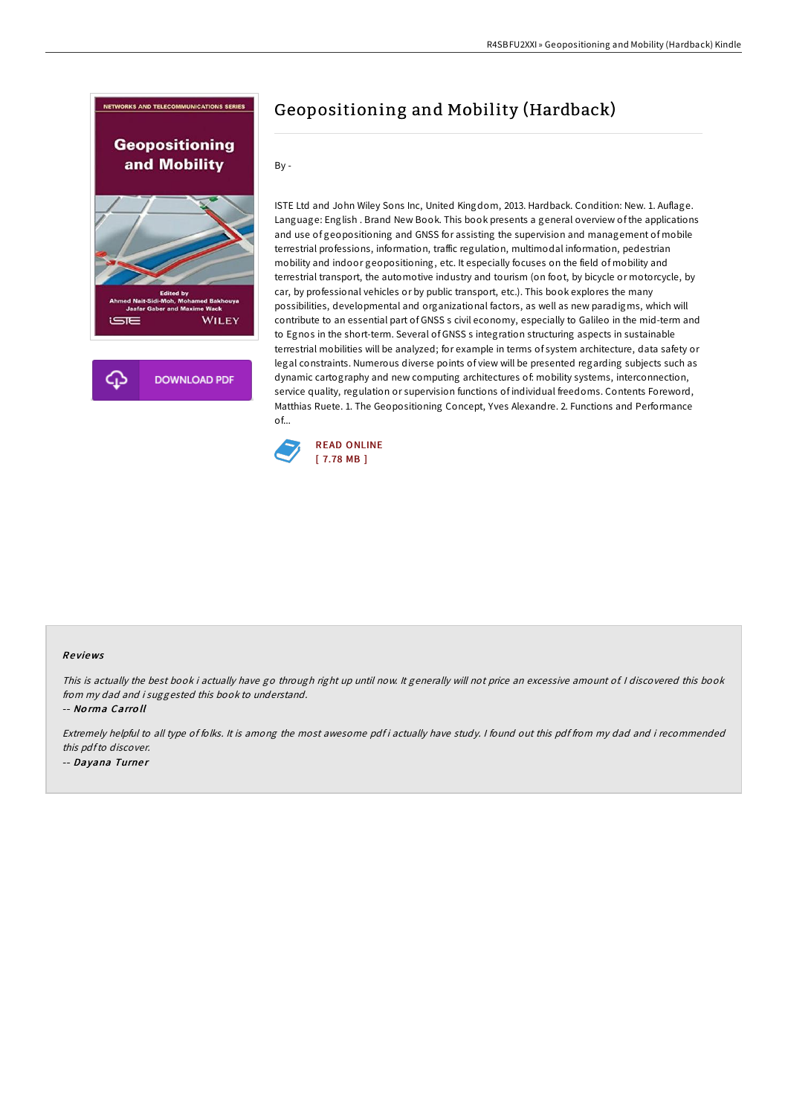

ISTE Ltd and John Wiley Sons Inc, United Kingdom, 2013. Hardback. Condition: New. 1. Auflage. Language: English . Brand New Book. This book presents a general overview of the applications and use of geopositioning and GNSS for assisting the supervision and management of mobile terrestrial professions, information, traffic regulation, multimodal information, pedestrian mobility and indoor geopositioning, etc. It especially focuses on the field of mobility and terrestrial transport, the automotive industry and tourism (on foot, by bicycle or motorcycle, by car, by professional vehicles or by public transport, etc.). This book explores the many possibilities, developmental and organizational factors, as well as new paradigms, which will contribute to an essential part of GNSS s civil economy, especially to Galileo in the mid-term and to Egnos in the short-term. Several of GNSS s integration structuring aspects in sustainable terrestrial mobilities will be analyzed; for example in terms of system architecture, data safety or legal constraints. Numerous diverse points of view will be presented regarding subjects such as dynamic cartography and new computing architectures of: mobility systems, interconnection, service quality, regulation or supervision functions of individual freedoms. Contents Foreword, Matthias Ruete. 1. The Geopositioning Concept, Yves Alexandre. 2. Functions and Performance of...



## Re views

This is actually the best book i actually have go through right up until now. It generally will not price an excessive amount of. <sup>I</sup> discovered this book from my dad and i suggested this book to understand.

-- No rma Carro ll

Extremely helpful to all type of folks. It is among the most awesome pdf i actually have study. <sup>I</sup> found out this pdf from my dad and i recommended this pdfto discover. -- Dayana Turner

## Geopositioning and Mobility (Hardback)

By -